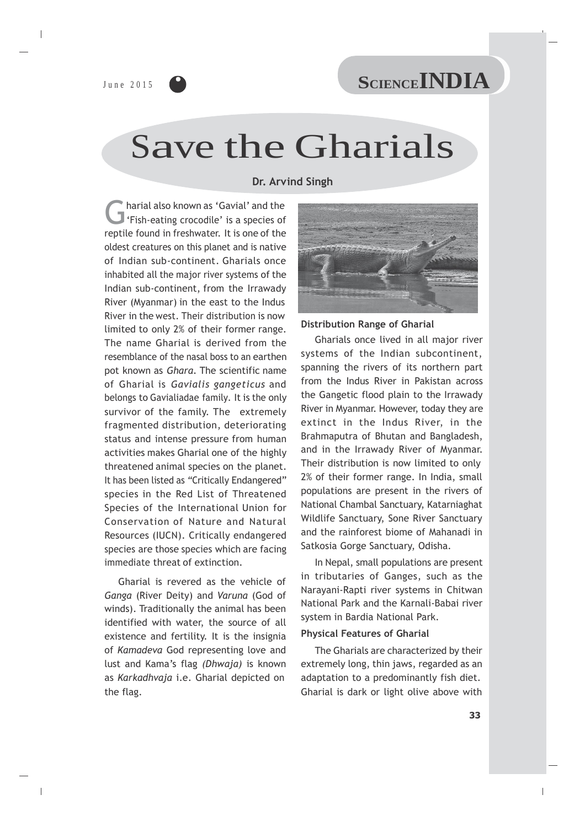June 2015 CLENCE INDIA

# Save the Gharials

**Dr. Arvind Singh**

Charial also known as 'Gavial' and the<br>
'Fish-eating crocodile' is a species of harial also known as 'Gavial' and the reptile found in freshwater. It is one of the oldest creatures on this planet and is native of Indian sub-continent. Gharials once inhabited all the major river systems of the Indian sub-continent, from the Irrawady River (Myanmar) in the east to the Indus River in the west. Their distribution is now limited to only 2% of their former range. The name Gharial is derived from the resemblance of the nasal boss to an earthen pot known as *Ghara*. The scientific name of Gharial is *Gavialis gangeticus* and belongs to Gavialiadae family*.* It is the only survivor of the family. The extremely fragmented distribution, deteriorating status and intense pressure from human activities makes Gharial one of the highly threatened animal species on the planet. It has been listed as *"*Critically Endangered" species in the Red List of Threatened Species of the International Union for Conservation of Nature and Natural Resources (IUCN). Critically endangered species are those species which are facing immediate threat of extinction.

Gharial is revered as the vehicle of *Ganga* (River Deity) and *Varuna* (God of winds). Traditionally the animal has been identified with water, the source of all existence and fertility. It is the insignia of *Kamadeva* God representing love and lust and Kama's flag *(Dhwaja)* is known as *Karkadhvaja* i.e. Gharial depicted on the flag.



#### **Distribution Range of Gharial**

Gharials once lived in all major river systems of the Indian subcontinent, spanning the rivers of its northern part from the Indus River in Pakistan across the Gangetic flood plain to the Irrawady River in Myanmar. However, today they are extinct in the Indus River, in the Brahmaputra of Bhutan and Bangladesh, and in the Irrawady River of Myanmar. Their distribution is now limited to only 2% of their former range. In India, small populations are present in the rivers of National Chambal Sanctuary, Katarniaghat Wildlife Sanctuary, Sone River Sanctuary and the rainforest biome of Mahanadi in Satkosia Gorge Sanctuary, Odisha.

In Nepal, small populations are present in tributaries of Ganges, such as the Narayani-Rapti river systems in Chitwan National Park and the Karnali-Babai river system in Bardia National Park.

#### **Physical Features of Gharial**

The Gharials are characterized by their extremely long, thin jaws, regarded as an adaptation to a predominantly fish diet. Gharial is dark or light olive above with

 $\overline{\phantom{a}}$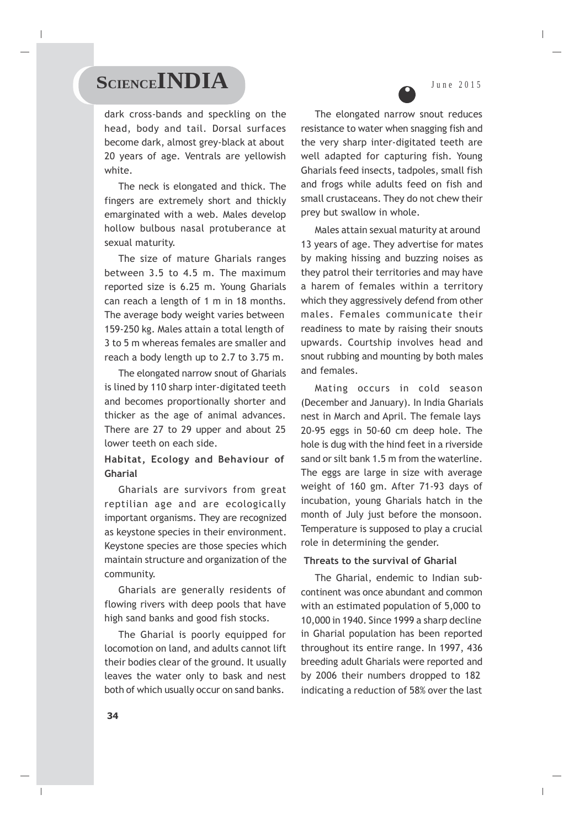### SCIENCE**INDIA** June 2015

dark cross-bands and speckling on the head, body and tail. Dorsal surfaces become dark, almost grey-black at about 20 years of age. Ventrals are yellowish white.

The neck is elongated and thick. The fingers are extremely short and thickly emarginated with a web. Males develop hollow bulbous nasal protuberance at sexual maturity.

The size of mature Gharials ranges between 3.5 to 4.5 m. The maximum reported size is 6.25 m. Young Gharials can reach a length of 1 m in 18 months. The average body weight varies between 159-250 kg. Males attain a total length of 3 to 5 m whereas females are smaller and reach a body length up to 2.7 to 3.75 m.

The elongated narrow snout of Gharials is lined by 110 sharp inter-digitated teeth and becomes proportionally shorter and thicker as the age of animal advances. There are 27 to 29 upper and about 25 lower teeth on each side.

### **Habitat, Ecology and Behaviour of Gharial**

Gharials are survivors from great reptilian age and are ecologically important organisms. They are recognized as keystone species in their environment. Keystone species are those species which maintain structure and organization of the community.

Gharials are generally residents of flowing rivers with deep pools that have high sand banks and good fish stocks.

The Gharial is poorly equipped for locomotion on land, and adults cannot lift their bodies clear of the ground. It usually leaves the water only to bask and nest both of which usually occur on sand banks.



The elongated narrow snout reduces resistance to water when snagging fish and the very sharp inter-digitated teeth are well adapted for capturing fish. Young Gharials feed insects, tadpoles, small fish and frogs while adults feed on fish and small crustaceans. They do not chew their prey but swallow in whole.

Males attain sexual maturity at around 13 years of age. They advertise for mates by making hissing and buzzing noises as they patrol their territories and may have a harem of females within a territory which they aggressively defend from other males. Females communicate their readiness to mate by raising their snouts upwards. Courtship involves head and snout rubbing and mounting by both males and females.

Mating occurs in cold season (December and January). In India Gharials nest in March and April. The female lays 20-95 eggs in 50-60 cm deep hole. The hole is dug with the hind feet in a riverside sand or silt bank 1.5 m from the waterline. The eggs are large in size with average weight of 160 gm. After 71-93 days of incubation, young Gharials hatch in the month of July just before the monsoon. Temperature is supposed to play a crucial role in determining the gender.

#### **Threats to the survival of Gharial**

The Gharial, endemic to Indian subcontinent was once abundant and common with an estimated population of 5,000 to 10,000 in 1940. Since 1999 a sharp decline in Gharial population has been reported throughout its entire range. In 1997, 436 breeding adult Gharials were reported and by 2006 their numbers dropped to 182 indicating a reduction of 58% over the last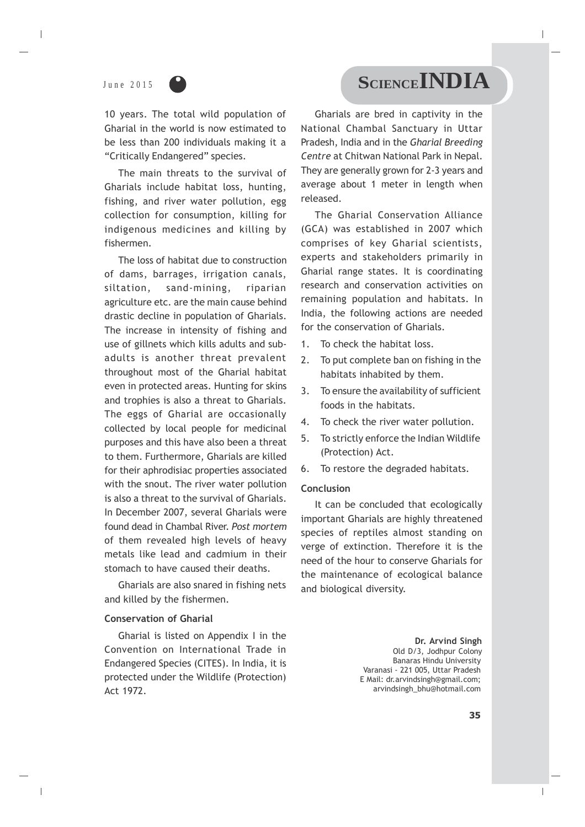

10 years. The total wild population of Gharial in the world is now estimated to be less than 200 individuals making it a "Critically Endangered" species.

The main threats to the survival of Gharials include habitat loss, hunting, fishing, and river water pollution, egg collection for consumption, killing for indigenous medicines and killing by fishermen.

The loss of habitat due to construction of dams, barrages, irrigation canals, siltation, sand-mining, riparian agriculture etc. are the main cause behind drastic decline in population of Gharials. The increase in intensity of fishing and use of gillnets which kills adults and subadults is another threat prevalent throughout most of the Gharial habitat even in protected areas. Hunting for skins and trophies is also a threat to Gharials. The eggs of Gharial are occasionally collected by local people for medicinal purposes and this have also been a threat to them. Furthermore, Gharials are killed for their aphrodisiac properties associated with the snout. The river water pollution is also a threat to the survival of Gharials. In December 2007, several Gharials were found dead in Chambal River. *Post mortem*  of them revealed high levels of heavy metals like lead and cadmium in their stomach to have caused their deaths.

Gharials are also snared in fishing nets and killed by the fishermen.

#### **Conservation of Gharial**

Gharial is listed on Appendix I in the Convention on International Trade in Endangered Species (CITES). In India, it is protected under the Wildlife (Protection) Act 1972.

## June 2015 CLENCE**INDIA**

Gharials are bred in captivity in the National Chambal Sanctuary in Uttar Pradesh, India and in the *Gharial Breeding Centre* at Chitwan National Park in Nepal. They are generally grown for 2-3 years and average about 1 meter in length when released.

The Gharial Conservation Alliance (GCA) was established in 2007 which comprises of key Gharial scientists, experts and stakeholders primarily in Gharial range states. It is coordinating research and conservation activities on remaining population and habitats. In India, the following actions are needed for the conservation of Gharials.

- 1. To check the habitat loss.
- 2. To put complete ban on fishing in the habitats inhabited by them.
- 3. To ensure the availability of sufficient foods in the habitats.
- 4. To check the river water pollution.
- 5. To strictly enforce the Indian Wildlife (Protection) Act.
- 6. To restore the degraded habitats.

#### **Conclusion**

It can be concluded that ecologically important Gharials are highly threatened species of reptiles almost standing on verge of extinction. Therefore it is the need of the hour to conserve Gharials for the maintenance of ecological balance and biological diversity.

> **Dr. Arvind Singh**  Old D/3, Jodhpur Colony Banaras Hindu University Varanasi - 221 005, Uttar Pradesh E Mail: [dr.arvindsingh@gmail.com;](mailto:arvindsingh@gmail.com) [arvindsingh\\_bhu@hotmail.com](mailto:arvindsingh_bhu@hotmail.com)